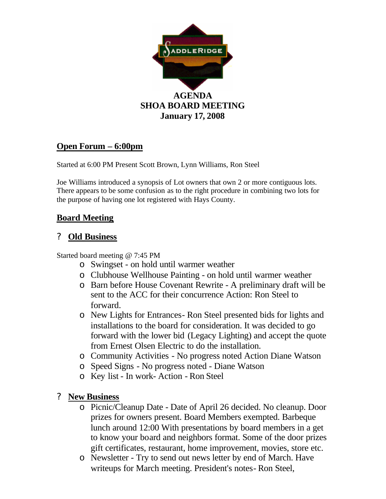

## **Open Forum – 6:00pm**

Started at 6:00 PM Present Scott Brown, Lynn Williams, Ron Steel

Joe Williams introduced a synopsis of Lot owners that own 2 or more contiguous lots. There appears to be some confusion as to the right procedure in combining two lots for the purpose of having one lot registered with Hays County.

## **Board Meeting**

## ? **Old Business**

Started board meeting @ 7:45 PM

- o Swingset on hold until warmer weather
- o Clubhouse Wellhouse Painting on hold until warmer weather
- o Barn before House Covenant Rewrite A preliminary draft will be sent to the ACC for their concurrence Action: Ron Steel to forward.
- o New Lights for Entrances- Ron Steel presented bids for lights and installations to the board for consideration. It was decided to go forward with the lower bid (Legacy Lighting) and accept the quote from Ernest Olsen Electric to do the installation.
- o Community Activities No progress noted Action Diane Watson
- o Speed Signs No progress noted Diane Watson
- o Key list In work- Action Ron Steel

## ? **New Business**

- o Picnic/Cleanup Date Date of April 26 decided. No cleanup. Door prizes for owners present. Board Members exempted. Barbeque lunch around 12:00 With presentations by board members in a get to know your board and neighbors format. Some of the door prizes gift certificates, restaurant, home improvement, movies, store etc.
- o Newsletter Try to send out news letter by end of March. Have writeups for March meeting. President's notes- Ron Steel,